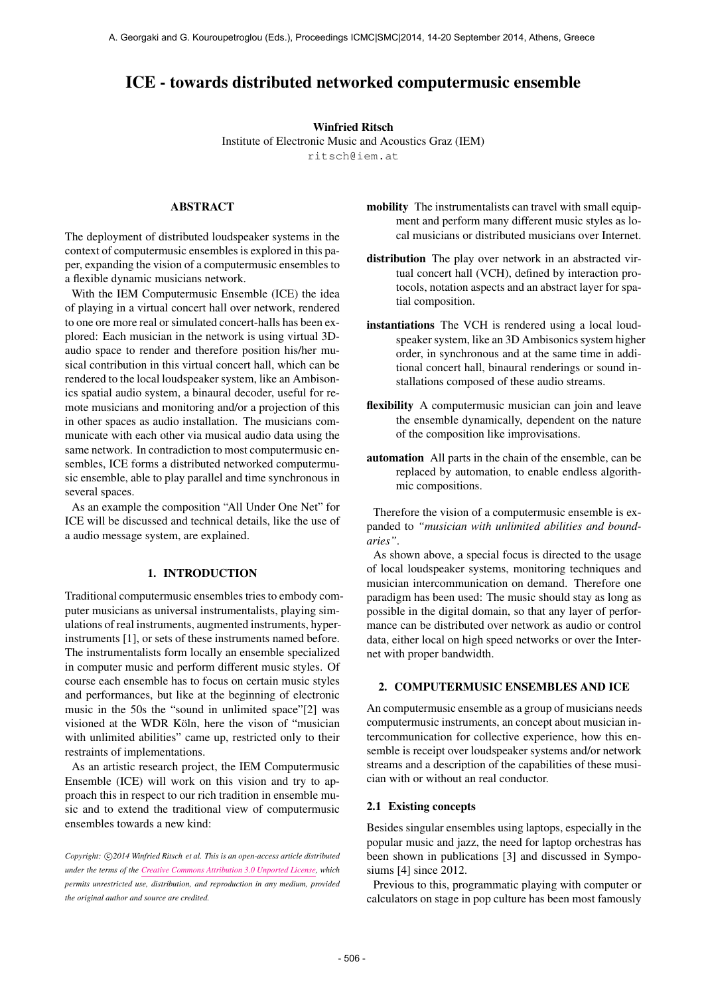# ICE - towards distributed networked computermusic ensemble

#### Winfried Ritsch

Institute of Electronic Music and Acoustics Graz (IEM) [ritsch@iem.at](mailto:ritsch@iem.at)

# ABSTRACT

The deployment of distributed loudspeaker systems in the context of computermusic ensembles is explored in this paper, expanding the vision of a computermusic ensembles to a flexible dynamic musicians network.

With the IEM Computermusic Ensemble (ICE) the idea of playing in a virtual concert hall over network, rendered to one ore more real or simulated concert-halls has been explored: Each musician in the network is using virtual 3Daudio space to render and therefore position his/her musical contribution in this virtual concert hall, which can be rendered to the local loudspeaker system, like an Ambisonics spatial audio system, a binaural decoder, useful for remote musicians and monitoring and/or a projection of this in other spaces as audio installation. The musicians communicate with each other via musical audio data using the same network. In contradiction to most computermusic ensembles, ICE forms a distributed networked computermusic ensemble, able to play parallel and time synchronous in several spaces.

As an example the composition "All Under One Net" for ICE will be discussed and technical details, like the use of a audio message system, are explained.

#### 1. INTRODUCTION

Traditional computermusic ensembles tries to embody computer musicians as universal instrumentalists, playing simulations of real instruments, augmented instruments, hyperinstruments [1], or sets of these instruments named before. The instrumentalists form locally an ensemble specialized in computer music and perform different music styles. Of course each ensemble has to focus on certain music styles and performances, but like at the beginning of electronic music in the 50s the "sound in unlimited space"[2] was visioned at the WDR Köln, here the vison of "musician" with unlimited abilities" came up, restricted only to their restraints of implementations.

As an artistic research project, the IEM Computermusic Ensemble (ICE) will work on this vision and try to approach this in respect to our rich tradition in ensemble music and to extend the traditional view of computermusic ensembles towards a new kind:

Copyright:  $\bigcirc$ 2014 Winfried Ritsch et al. This is an open-access article distributed *under the terms of the [Creative Commons Attribution 3.0 Unported License,](http://creativecommons.org/licenses/by/3.0/) which permits unrestricted use, distribution, and reproduction in any medium, provided the original author and source are credited.*

- mobility The instrumentalists can travel with small equipment and perform many different music styles as local musicians or distributed musicians over Internet.
- distribution The play over network in an abstracted virtual concert hall (VCH), defined by interaction protocols, notation aspects and an abstract layer for spatial composition.
- instantiations The VCH is rendered using a local loudspeaker system, like an 3D Ambisonics system higher order, in synchronous and at the same time in additional concert hall, binaural renderings or sound installations composed of these audio streams.
- flexibility A computermusic musician can join and leave the ensemble dynamically, dependent on the nature of the composition like improvisations.
- automation All parts in the chain of the ensemble, can be replaced by automation, to enable endless algorithmic compositions.

Therefore the vision of a computermusic ensemble is expanded to *"musician with unlimited abilities and boundaries"*.

As shown above, a special focus is directed to the usage of local loudspeaker systems, monitoring techniques and musician intercommunication on demand. Therefore one paradigm has been used: The music should stay as long as possible in the digital domain, so that any layer of performance can be distributed over network as audio or control data, either local on high speed networks or over the Internet with proper bandwidth.

# 2. COMPUTERMUSIC ENSEMBLES AND ICE

An computermusic ensemble as a group of musicians needs computermusic instruments, an concept about musician intercommunication for collective experience, how this ensemble is receipt over loudspeaker systems and/or network streams and a description of the capabilities of these musician with or without an real conductor.

#### 2.1 Existing concepts

Besides singular ensembles using laptops, especially in the popular music and jazz, the need for laptop orchestras has been shown in publications [3] and discussed in Symposiums [4] since 2012.

Previous to this, programmatic playing with computer or calculators on stage in pop culture has been most famously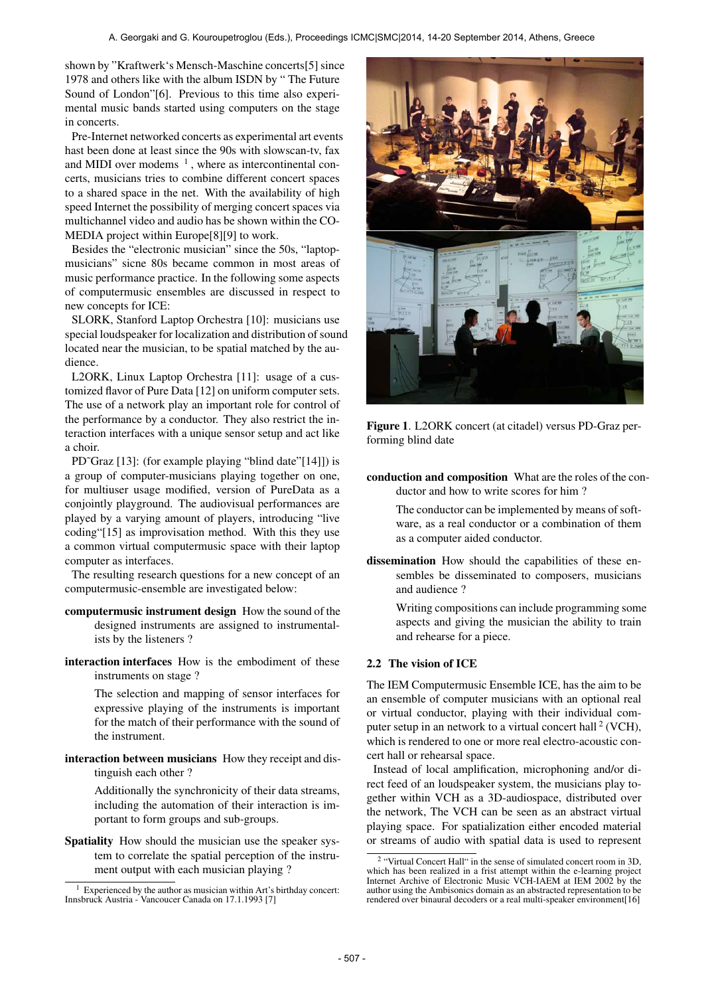shown by "Kraftwerk's Mensch-Maschine concerts[5] since 1978 and others like with the album ISDN by " The Future Sound of London"[6]. Previous to this time also experimental music bands started using computers on the stage in concerts.

Pre-Internet networked concerts as experimental art events hast been done at least since the 90s with slowscan-tv, fax and MIDI over modems  $<sup>1</sup>$ , where as intercontinental con-</sup> certs, musicians tries to combine different concert spaces to a shared space in the net. With the availability of high speed Internet the possibility of merging concert spaces via multichannel video and audio has be shown within the CO-MEDIA project within Europe[8][9] to work.

Besides the "electronic musician" since the 50s, "laptopmusicians" sicne 80s became common in most areas of music performance practice. In the following some aspects of computermusic ensembles are discussed in respect to new concepts for ICE:

SLORK, Stanford Laptop Orchestra [10]: musicians use special loudspeaker for localization and distribution of sound located near the musician, to be spatial matched by the audience.

L2ORK, Linux Laptop Orchestra [11]: usage of a customized flavor of Pure Data [12] on uniform computer sets. The use of a network play an important role for control of the performance by a conductor. They also restrict the interaction interfaces with a unique sensor setup and act like a choir.

PD~Graz [13]: (for example playing "blind date"[14]]) is a group of computer-musicians playing together on one, for multiuser usage modified, version of PureData as a conjointly playground. The audiovisual performances are played by a varying amount of players, introducing "live coding"[15] as improvisation method. With this they use a common virtual computermusic space with their laptop computer as interfaces.

The resulting research questions for a new concept of an computermusic-ensemble are investigated below:

- computermusic instrument design How the sound of the designed instruments are assigned to instrumentalists by the listeners ?
- interaction interfaces How is the embodiment of these instruments on stage ?

The selection and mapping of sensor interfaces for expressive playing of the instruments is important for the match of their performance with the sound of the instrument.

interaction between musicians How they receipt and distinguish each other ?

> Additionally the synchronicity of their data streams, including the automation of their interaction is important to form groups and sub-groups.

Spatiality How should the musician use the speaker system to correlate the spatial perception of the instrument output with each musician playing ?



Figure 1. L2ORK concert (at citadel) versus PD-Graz performing blind date

conduction and composition What are the roles of the conductor and how to write scores for him ?

> The conductor can be implemented by means of software, as a real conductor or a combination of them as a computer aided conductor.

dissemination How should the capabilities of these ensembles be disseminated to composers, musicians and audience ?

> Writing compositions can include programming some aspects and giving the musician the ability to train and rehearse for a piece.

# 2.2 The vision of ICE

The IEM Computermusic Ensemble ICE, has the aim to be an ensemble of computer musicians with an optional real or virtual conductor, playing with their individual computer setup in an network to a virtual concert hall  $2$  (VCH), which is rendered to one or more real electro-acoustic concert hall or rehearsal space.

Instead of local amplification, microphoning and/or direct feed of an loudspeaker system, the musicians play together within VCH as a 3D-audiospace, distributed over the network, The VCH can be seen as an abstract virtual playing space. For spatialization either encoded material or streams of audio with spatial data is used to represent

 $<sup>1</sup>$  Experienced by the author as musician within Art's birthday concert:</sup> Innsbruck Austria - Vancoucer Canada on 17.1.1993 [7]

<sup>&</sup>lt;sup>2</sup> "Virtual Concert Hall" in the sense of simulated concert room in 3D, which has been realized in a frist attempt within the e-learning project Internet Archive of Electronic Music VCH-IAEM at IEM 2002 by the author using the Ambisonics domain as an abstracted representation to be rendered over binaural decoders or a real multi-speaker environment[16]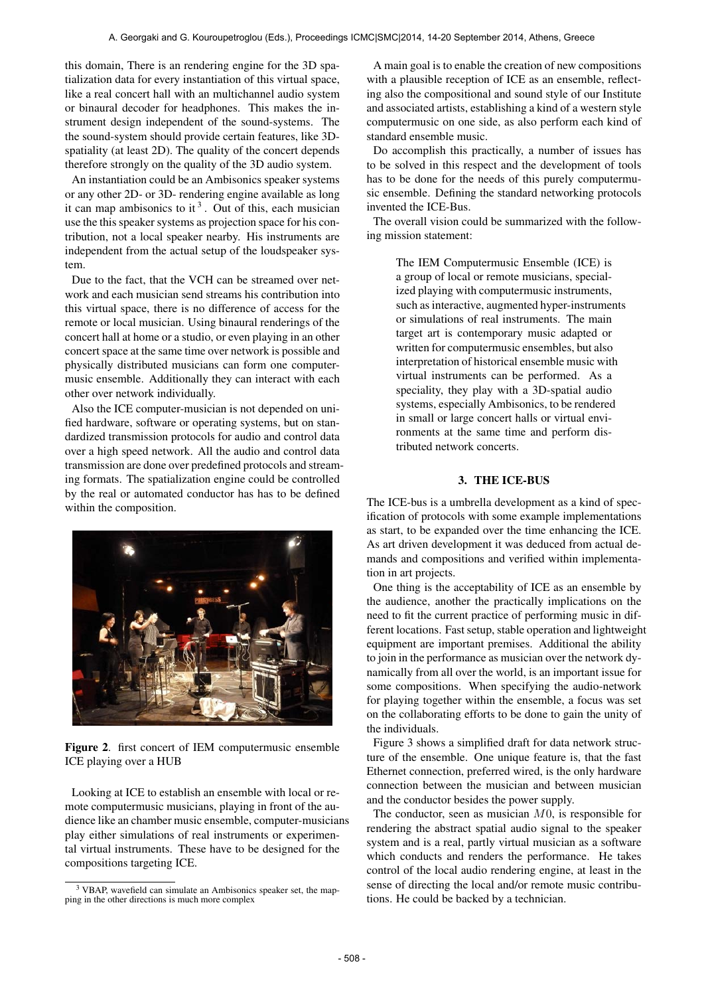this domain, There is an rendering engine for the 3D spatialization data for every instantiation of this virtual space, like a real concert hall with an multichannel audio system or binaural decoder for headphones. This makes the instrument design independent of the sound-systems. The the sound-system should provide certain features, like 3Dspatiality (at least 2D). The quality of the concert depends therefore strongly on the quality of the 3D audio system.

An instantiation could be an Ambisonics speaker systems or any other 2D- or 3D- rendering engine available as long it can map ambisonics to it<sup>3</sup>. Out of this, each musician use the this speaker systems as projection space for his contribution, not a local speaker nearby. His instruments are independent from the actual setup of the loudspeaker system.

Due to the fact, that the VCH can be streamed over network and each musician send streams his contribution into this virtual space, there is no difference of access for the remote or local musician. Using binaural renderings of the concert hall at home or a studio, or even playing in an other concert space at the same time over network is possible and physically distributed musicians can form one computermusic ensemble. Additionally they can interact with each other over network individually.

Also the ICE computer-musician is not depended on unified hardware, software or operating systems, but on standardized transmission protocols for audio and control data over a high speed network. All the audio and control data transmission are done over predefined protocols and streaming formats. The spatialization engine could be controlled by the real or automated conductor has has to be defined within the composition.



Figure 2. first concert of IEM computermusic ensemble ICE playing over a HUB

Looking at ICE to establish an ensemble with local or remote computermusic musicians, playing in front of the audience like an chamber music ensemble, computer-musicians play either simulations of real instruments or experimental virtual instruments. These have to be designed for the compositions targeting ICE.

A main goal is to enable the creation of new compositions with a plausible reception of ICE as an ensemble, reflecting also the compositional and sound style of our Institute and associated artists, establishing a kind of a western style computermusic on one side, as also perform each kind of standard ensemble music.

Do accomplish this practically, a number of issues has to be solved in this respect and the development of tools has to be done for the needs of this purely computermusic ensemble. Defining the standard networking protocols invented the ICE-Bus.

The overall vision could be summarized with the following mission statement:

> The IEM Computermusic Ensemble (ICE) is a group of local or remote musicians, specialized playing with computermusic instruments, such as interactive, augmented hyper-instruments or simulations of real instruments. The main target art is contemporary music adapted or written for computermusic ensembles, but also interpretation of historical ensemble music with virtual instruments can be performed. As a speciality, they play with a 3D-spatial audio systems, especially Ambisonics, to be rendered in small or large concert halls or virtual environments at the same time and perform distributed network concerts.

# 3. THE ICE-BUS

The ICE-bus is a umbrella development as a kind of specification of protocols with some example implementations as start, to be expanded over the time enhancing the ICE. As art driven development it was deduced from actual demands and compositions and verified within implementation in art projects.

One thing is the acceptability of ICE as an ensemble by the audience, another the practically implications on the need to fit the current practice of performing music in different locations. Fast setup, stable operation and lightweight equipment are important premises. Additional the ability to join in the performance as musician over the network dynamically from all over the world, is an important issue for some compositions. When specifying the audio-network for playing together within the ensemble, a focus was set on the collaborating efforts to be done to gain the unity of the individuals.

Figure 3 shows a simplified draft for data network structure of the ensemble. One unique feature is, that the fast Ethernet connection, preferred wired, is the only hardware connection between the musician and between musician and the conductor besides the power supply.

The conductor, seen as musician  $M<sub>0</sub>$ , is responsible for rendering the abstract spatial audio signal to the speaker system and is a real, partly virtual musician as a software which conducts and renders the performance. He takes control of the local audio rendering engine, at least in the sense of directing the local and/or remote music contributions. He could be backed by a technician.

<sup>3</sup> VBAP, wavefield can simulate an Ambisonics speaker set, the mapping in the other directions is much more complex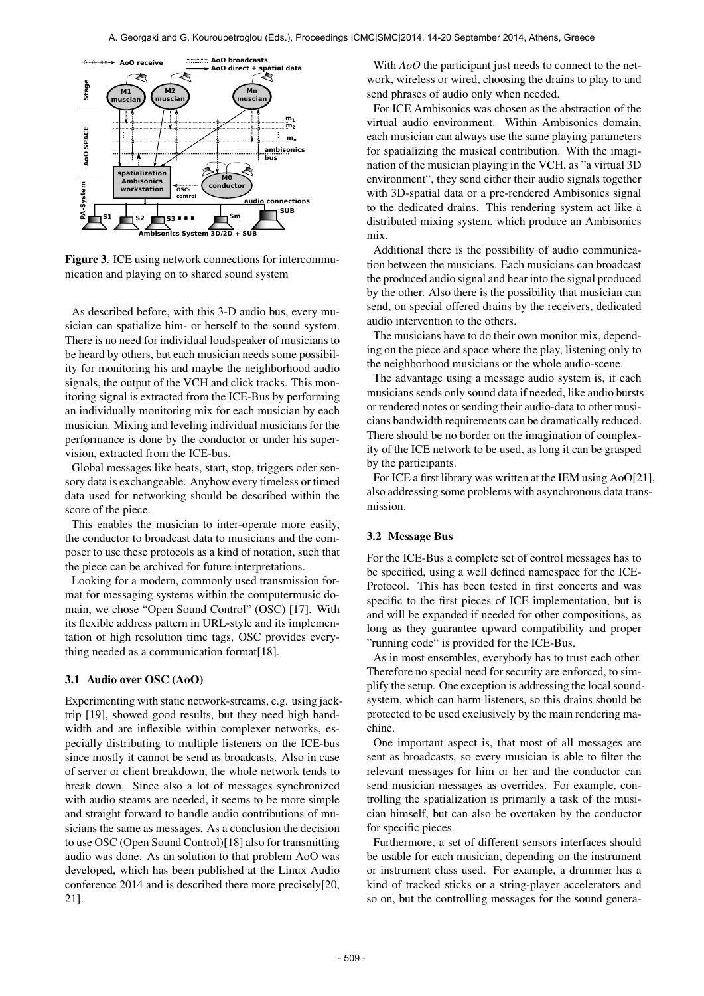

Figure 3. ICE using network connections for intercommunication and playing on to shared sound system

As described before, with this 3-D audio bus, every musician can spatialize him- or herself to the sound system. There is no need for individual loudspeaker of musicians to be heard by others, but each musician needs some possibility for monitoring his and maybe the neighborhood audio signals, the output of the VCH and click tracks. This monitoring signal is extracted from the ICE-Bus by performing an individually monitoring mix for each musician by each musician. Mixing and leveling individual musicians for the performance is done by the conductor or under his supervision, extracted from the ICE-bus.

Global messages like beats, start, stop, triggers oder sensory data is exchangeable. Anyhow every timeless or timed data used for networking should be described within the score of the piece.

This enables the musician to inter-operate more easily, the conductor to broadcast data to musicians and the composer to use these protocols as a kind of notation, such that the piece can be archived for future interpretations.

Looking for a modern, commonly used transmission format for messaging systems within the computermusic domain, we chose "Open Sound Control" (OSC) [17]. With its flexible address pattern in URL-style and its implementation of high resolution time tags, OSC provides everything needed as a communication format[18].

### 3.1 Audio over OSC (AoO)

Experimenting with static network-streams, e.g. using jacktrip [19], showed good results, but they need high bandwidth and are inflexible within complexer networks, especially distributing to multiple listeners on the ICE-bus since mostly it cannot be send as broadcasts. Also in case of server or client breakdown, the whole network tends to break down. Since also a lot of messages synchronized with audio steams are needed, it seems to be more simple and straight forward to handle audio contributions of musicians the same as messages. As a conclusion the decision to use OSC (Open Sound Control)[18] also for transmitting audio was done. As an solution to that problem AoO was developed, which has been published at the Linux Audio conference 2014 and is described there more precisely[20, 21].

With *AoO* the participant just needs to connect to the network, wireless or wired, choosing the drains to play to and send phrases of audio only when needed.

For ICE Ambisonics was chosen as the abstraction of the virtual audio environment. Within Ambisonics domain, each musician can always use the same playing parameters for spatializing the musical contribution. With the imagination of the musician playing in the VCH, as "a virtual 3D environment", they send either their audio signals together with 3D-spatial data or a pre-rendered Ambisonics signal to the dedicated drains. This rendering system act like a distributed mixing system, which produce an Ambisonics mix.

Additional there is the possibility of audio communication between the musicians. Each musicians can broadcast the produced audio signal and hear into the signal produced by the other. Also there is the possibility that musician can send, on special offered drains by the receivers, dedicated audio intervention to the others.

The musicians have to do their own monitor mix, depending on the piece and space where the play, listening only to the neighborhood musicians or the whole audio-scene.

The advantage using a message audio system is, if each musicians sends only sound data if needed, like audio bursts or rendered notes or sending their audio-data to other musicians bandwidth requirements can be dramatically reduced. There should be no border on the imagination of complexity of the ICE network to be used, as long it can be grasped by the participants.

For ICE a first library was written at the IEM using AoO[21], also addressing some problems with asynchronous data transmission.

## 3.2 Message Bus

For the ICE-Bus a complete set of control messages has to be specified, using a well defined namespace for the ICE-Protocol. This has been tested in first concerts and was specific to the first pieces of ICE implementation, but is and will be expanded if needed for other compositions, as long as they guarantee upward compatibility and proper "running code" is provided for the ICE-Bus.

As in most ensembles, everybody has to trust each other. Therefore no special need for security are enforced, to simplify the setup. One exception is addressing the local soundsystem, which can harm listeners, so this drains should be protected to be used exclusively by the main rendering machine.

One important aspect is, that most of all messages are sent as broadcasts, so every musician is able to filter the relevant messages for him or her and the conductor can send musician messages as overrides. For example, controlling the spatialization is primarily a task of the musician himself, but can also be overtaken by the conductor for specific pieces.

Furthermore, a set of different sensors interfaces should be usable for each musician, depending on the instrument or instrument class used. For example, a drummer has a kind of tracked sticks or a string-player accelerators and so on, but the controlling messages for the sound genera-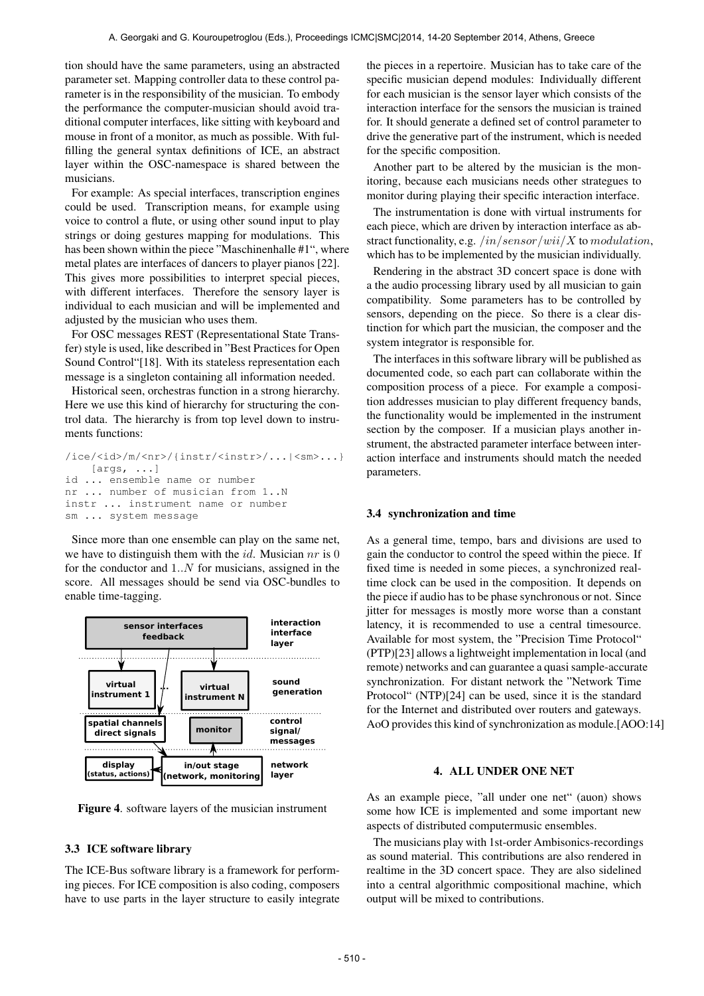tion should have the same parameters, using an abstracted parameter set. Mapping controller data to these control parameter is in the responsibility of the musician. To embody the performance the computer-musician should avoid traditional computer interfaces, like sitting with keyboard and mouse in front of a monitor, as much as possible. With fulfilling the general syntax definitions of ICE, an abstract layer within the OSC-namespace is shared between the musicians.

For example: As special interfaces, transcription engines could be used. Transcription means, for example using voice to control a flute, or using other sound input to play strings or doing gestures mapping for modulations. This has been shown within the piece "Maschinenhalle #1", where metal plates are interfaces of dancers to player pianos [22]. This gives more possibilities to interpret special pieces, with different interfaces. Therefore the sensory layer is individual to each musician and will be implemented and adjusted by the musician who uses them.

For OSC messages REST (Representational State Transfer) style is used, like described in "Best Practices for Open Sound Control"[18]. With its stateless representation each message is a singleton containing all information needed.

Historical seen, orchestras function in a strong hierarchy. Here we use this kind of hierarchy for structuring the control data. The hierarchy is from top level down to instruments functions:

```
/ice/<id>/m/<nr>/{instr/<instr>/...|<sm>...}
    [args, ...]
id ... ensemble name or number
nr ... number of musician from 1..N
instr ... instrument name or number
sm ... system message
```
Since more than one ensemble can play on the same net, we have to distinguish them with the *id*. Musician  $nr$  is 0 for the conductor and  $1..N$  for musicians, assigned in the score. All messages should be send via OSC-bundles to enable time-tagging.



Figure 4. software layers of the musician instrument

## 3.3 ICE software library

The ICE-Bus software library is a framework for performing pieces. For ICE composition is also coding, composers have to use parts in the layer structure to easily integrate the pieces in a repertoire. Musician has to take care of the specific musician depend modules: Individually different for each musician is the sensor layer which consists of the interaction interface for the sensors the musician is trained for. It should generate a defined set of control parameter to drive the generative part of the instrument, which is needed for the specific composition.

Another part to be altered by the musician is the monitoring, because each musicians needs other strategues to monitor during playing their specific interaction interface.

The instrumentation is done with virtual instruments for each piece, which are driven by interaction interface as abstract functionality, e.g.  $/in/sensor/wii/X$  to modulation, which has to be implemented by the musician individually.

Rendering in the abstract 3D concert space is done with a the audio processing library used by all musician to gain compatibility. Some parameters has to be controlled by sensors, depending on the piece. So there is a clear distinction for which part the musician, the composer and the system integrator is responsible for.

The interfaces in this software library will be published as documented code, so each part can collaborate within the composition process of a piece. For example a composition addresses musician to play different frequency bands, the functionality would be implemented in the instrument section by the composer. If a musician plays another instrument, the abstracted parameter interface between interaction interface and instruments should match the needed parameters.

#### 3.4 synchronization and time

As a general time, tempo, bars and divisions are used to gain the conductor to control the speed within the piece. If fixed time is needed in some pieces, a synchronized realtime clock can be used in the composition. It depends on the piece if audio has to be phase synchronous or not. Since jitter for messages is mostly more worse than a constant latency, it is recommended to use a central timesource. Available for most system, the "Precision Time Protocol" (PTP)[23] allows a lightweight implementation in local (and remote) networks and can guarantee a quasi sample-accurate synchronization. For distant network the "Network Time Protocol" (NTP)[24] can be used, since it is the standard for the Internet and distributed over routers and gateways. AoO provides this kind of synchronization as module.[AOO:14]

# 4. ALL UNDER ONE NET

As an example piece, "all under one net" (auon) shows some how ICE is implemented and some important new aspects of distributed computermusic ensembles.

The musicians play with 1st-order Ambisonics-recordings as sound material. This contributions are also rendered in realtime in the 3D concert space. They are also sidelined into a central algorithmic compositional machine, which output will be mixed to contributions.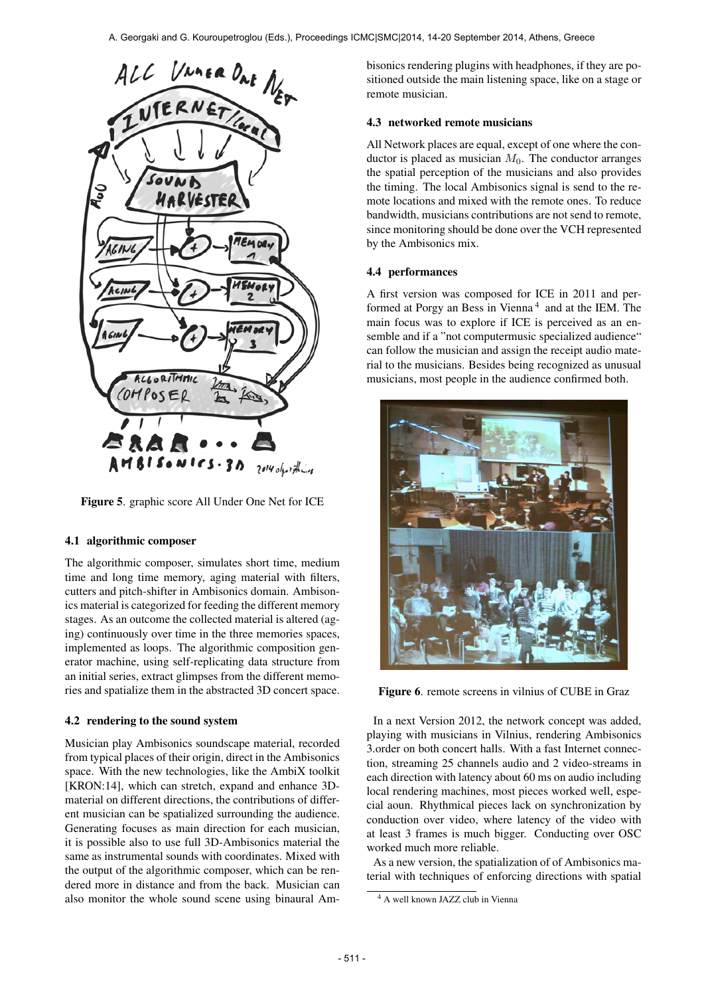

Figure 5. graphic score All Under One Net for ICE

# 4.1 algorithmic composer

The algorithmic composer, simulates short time, medium time and long time memory, aging material with filters, cutters and pitch-shifter in Ambisonics domain. Ambisonics material is categorized for feeding the different memory stages. As an outcome the collected material is altered (aging) continuously over time in the three memories spaces, implemented as loops. The algorithmic composition generator machine, using self-replicating data structure from an initial series, extract glimpses from the different memories and spatialize them in the abstracted 3D concert space.

### 4.2 rendering to the sound system

Musician play Ambisonics soundscape material, recorded from typical places of their origin, direct in the Ambisonics space. With the new technologies, like the AmbiX toolkit [KRON:14], which can stretch, expand and enhance 3Dmaterial on different directions, the contributions of different musician can be spatialized surrounding the audience. Generating focuses as main direction for each musician, it is possible also to use full 3D-Ambisonics material the same as instrumental sounds with coordinates. Mixed with the output of the algorithmic composer, which can be rendered more in distance and from the back. Musician can also monitor the whole sound scene using binaural Ambisonics rendering plugins with headphones, if they are positioned outside the main listening space, like on a stage or remote musician.

# 4.3 networked remote musicians

All Network places are equal, except of one where the conductor is placed as musician  $M_0$ . The conductor arranges the spatial perception of the musicians and also provides the timing. The local Ambisonics signal is send to the remote locations and mixed with the remote ones. To reduce bandwidth, musicians contributions are not send to remote, since monitoring should be done over the VCH represented by the Ambisonics mix.

### 4.4 performances

A first version was composed for ICE in 2011 and performed at Porgy an Bess in Vienna<sup>4</sup> and at the IEM. The main focus was to explore if ICE is perceived as an ensemble and if a "not computermusic specialized audience" can follow the musician and assign the receipt audio material to the musicians. Besides being recognized as unusual musicians, most people in the audience confirmed both.



Figure 6. remote screens in vilnius of CUBE in Graz

In a next Version 2012, the network concept was added, playing with musicians in Vilnius, rendering Ambisonics 3.order on both concert halls. With a fast Internet connection, streaming 25 channels audio and 2 video-streams in each direction with latency about 60 ms on audio including local rendering machines, most pieces worked well, especial aoun. Rhythmical pieces lack on synchronization by conduction over video, where latency of the video with at least 3 frames is much bigger. Conducting over OSC worked much more reliable.

As a new version, the spatialization of of Ambisonics material with techniques of enforcing directions with spatial

<sup>4</sup> A well known JAZZ club in Vienna